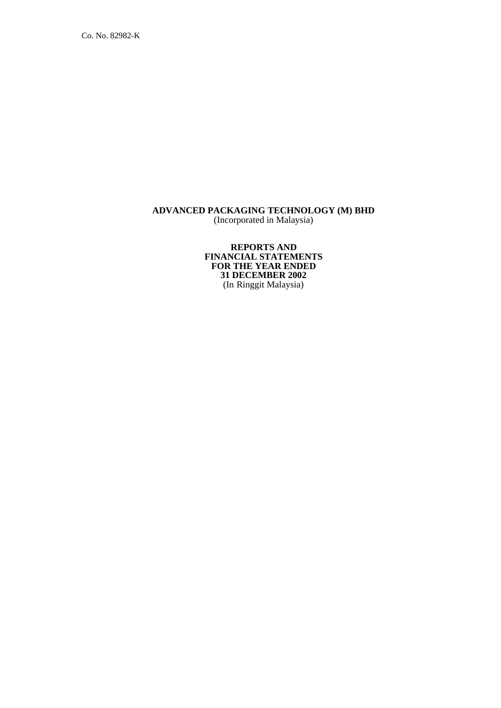Co. No. 82982-K

#### **ADVANCED PACKAGING TECHNOLOGY (M) BHD** (Incorporated in Malaysia)

**REPORTS AND FINANCIAL STATEMENTS FOR THE YEAR ENDED 31 DECEMBER 2002** (In Ringgit Malaysia)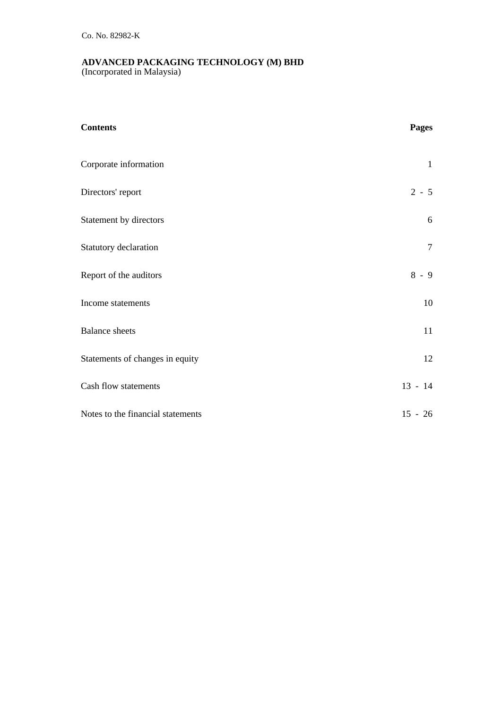(Incorporated in Malaysia)

| <b>Contents</b>                   | Pages          |
|-----------------------------------|----------------|
| Corporate information             | $\mathbf{1}$   |
| Directors' report                 | $2 - 5$        |
| Statement by directors            | 6              |
| Statutory declaration             | $\overline{7}$ |
| Report of the auditors            | $8 - 9$        |
| Income statements                 | 10             |
| <b>Balance</b> sheets             | 11             |
| Statements of changes in equity   | 12             |
| Cash flow statements              | $13 - 14$      |
| Notes to the financial statements | $15 - 26$      |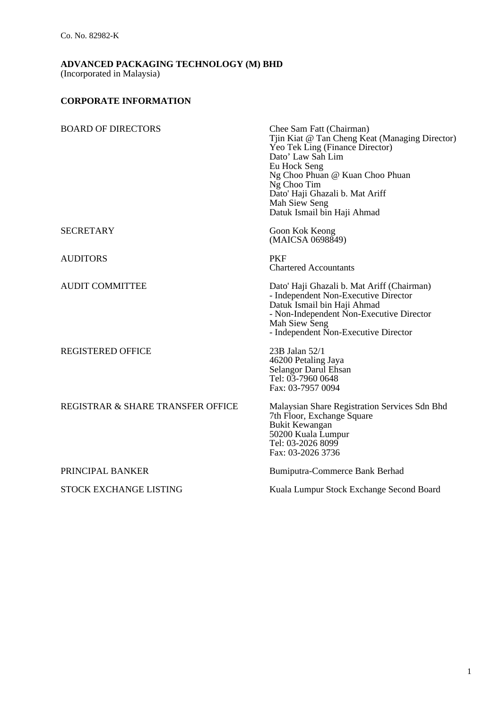(Incorporated in Malaysia)

## **CORPORATE INFORMATION**

| <b>BOARD OF DIRECTORS</b>         | Chee Sam Fatt (Chairman)<br>Tjin Kiat @ Tan Cheng Keat (Managing Director)<br>Yeo Tek Ling (Finance Director)<br>Dato' Law Sah Lim<br>Eu Hock Seng<br>Ng Choo Phuan @ Kuan Choo Phuan<br>Ng Choo Tim<br>Dato' Haji Ghazali b. Mat Ariff<br>Mah Siew Seng<br>Datuk Ismail bin Haji Ahmad |
|-----------------------------------|-----------------------------------------------------------------------------------------------------------------------------------------------------------------------------------------------------------------------------------------------------------------------------------------|
| <b>SECRETARY</b>                  | Goon Kok Keong<br>(MAICSA 0698849)                                                                                                                                                                                                                                                      |
| <b>AUDITORS</b>                   | <b>PKF</b><br><b>Chartered Accountants</b>                                                                                                                                                                                                                                              |
| <b>AUDIT COMMITTEE</b>            | Dato' Haji Ghazali b. Mat Ariff (Chairman)<br>- Independent Non-Executive Director<br>Datuk Ismail bin Haji Ahmad<br>- Non-Independent Non-Executive Director<br>Mah Siew Seng<br>- Independent Non-Executive Director                                                                  |
| <b>REGISTERED OFFICE</b>          | 23B Jalan 52/1<br>46200 Petaling Jaya<br>Selangor Darul Ehsan<br>Tel: 03-7960 0648<br>Fax: 03-7957 0094                                                                                                                                                                                 |
| REGISTRAR & SHARE TRANSFER OFFICE | Malaysian Share Registration Services Sdn Bhd<br>7th Floor, Exchange Square<br><b>Bukit Kewangan</b><br>50200 Kuala Lumpur<br>Tel: 03-2026 8099<br>Fax: 03-2026 3736                                                                                                                    |
| PRINCIPAL BANKER                  | Bumiputra-Commerce Bank Berhad                                                                                                                                                                                                                                                          |
| <b>STOCK EXCHANGE LISTING</b>     | Kuala Lumpur Stock Exchange Second Board                                                                                                                                                                                                                                                |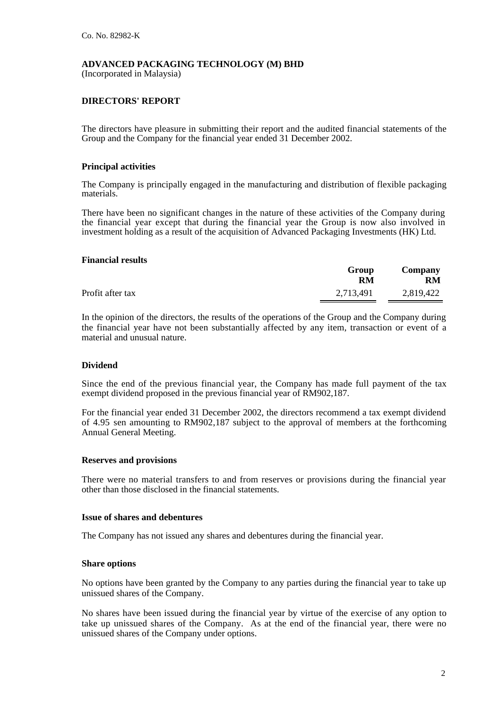(Incorporated in Malaysia)

## **DIRECTORS' REPORT**

The directors have pleasure in submitting their report and the audited financial statements of the Group and the Company for the financial year ended 31 December 2002.

### **Principal activities**

The Company is principally engaged in the manufacturing and distribution of flexible packaging materials.

There have been no significant changes in the nature of these activities of the Company during the financial year except that during the financial year the Group is now also involved in investment holding as a result of the acquisition of Advanced Packaging Investments (HK) Ltd.

#### **Financial results**

|                  | Group<br>RM | Company<br><b>RM</b> |
|------------------|-------------|----------------------|
| Profit after tax | 2,713,491   | 2,819,422            |

In the opinion of the directors, the results of the operations of the Group and the Company during the financial year have not been substantially affected by any item, transaction or event of a material and unusual nature.

## **Dividend**

Since the end of the previous financial year, the Company has made full payment of the tax exempt dividend proposed in the previous financial year of RM902,187.

For the financial year ended 31 December 2002, the directors recommend a tax exempt dividend of 4.95 sen amounting to RM902,187 subject to the approval of members at the forthcoming Annual General Meeting.

#### **Reserves and provisions**

There were no material transfers to and from reserves or provisions during the financial year other than those disclosed in the financial statements.

#### **Issue of shares and debentures**

The Company has not issued any shares and debentures during the financial year.

#### **Share options**

No options have been granted by the Company to any parties during the financial year to take up unissued shares of the Company.

No shares have been issued during the financial year by virtue of the exercise of any option to take up unissued shares of the Company. As at the end of the financial year, there were no unissued shares of the Company under options.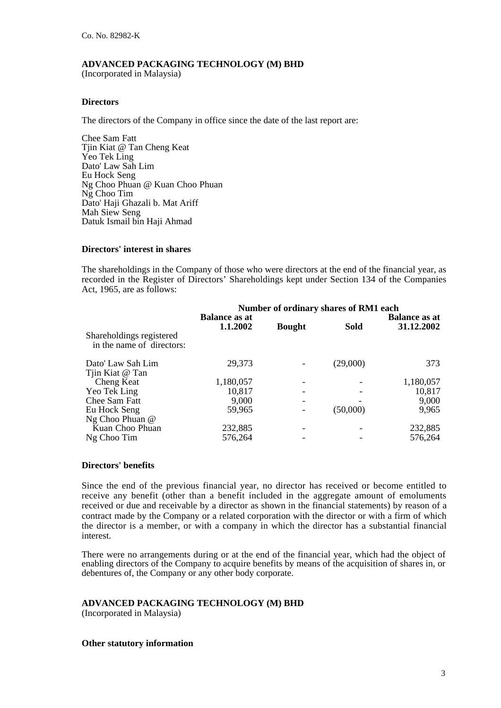(Incorporated in Malaysia)

### **Directors**

The directors of the Company in office since the date of the last report are:

Chee Sam Fatt Tjin Kiat @ Tan Cheng Keat Yeo Tek Ling Dato' Law Sah Lim Eu Hock Seng Ng Choo Phuan @ Kuan Choo Phuan Ng Choo Tim Dato' Haji Ghazali b. Mat Ariff Mah Siew Seng Datuk Ismail bin Haji Ahmad

### **Directors' interest in shares**

The shareholdings in the Company of those who were directors at the end of the financial year, as recorded in the Register of Directors' Shareholdings kept under Section 134 of the Companies Act, 1965, are as follows:

|                                                       | Number of ordinary shares of RM1 each |               |             |                      |
|-------------------------------------------------------|---------------------------------------|---------------|-------------|----------------------|
|                                                       | <b>Balance as at</b>                  |               |             | <b>Balance as at</b> |
|                                                       | 1.1.2002                              | <b>Bought</b> | <b>Sold</b> | 31.12.2002           |
| Shareholdings registered<br>in the name of directors: |                                       |               |             |                      |
| Dato' Law Sah Lim                                     | 29,373                                |               | (29,000)    | 373                  |
| Tijn Kiat @ Tan                                       |                                       |               |             |                      |
| Cheng Keat                                            | 1,180,057                             |               |             | 1,180,057            |
| Yeo Tek Ling                                          | 10,817                                |               |             | 10,817               |
| Chee Sam Fatt                                         | 9,000                                 |               |             | 9,000                |
| Eu Hock Seng                                          | 59,965                                |               | (50,000)    | 9,965                |
| Ng Choo Phuan @                                       |                                       |               |             |                      |
| Kuan Choo Phuan                                       | 232,885                               |               |             | 232,885              |
| Ng Choo Tim                                           | 576,264                               |               |             | 576,264              |

#### **Directors' benefits**

Since the end of the previous financial year, no director has received or become entitled to receive any benefit (other than a benefit included in the aggregate amount of emoluments received or due and receivable by a director as shown in the financial statements) by reason of a contract made by the Company or a related corporation with the director or with a firm of which the director is a member, or with a company in which the director has a substantial financial interest.

There were no arrangements during or at the end of the financial year, which had the object of enabling directors of the Company to acquire benefits by means of the acquisition of shares in, or debentures of, the Company or any other body corporate.

## **ADVANCED PACKAGING TECHNOLOGY (M) BHD**

(Incorporated in Malaysia)

#### **Other statutory information**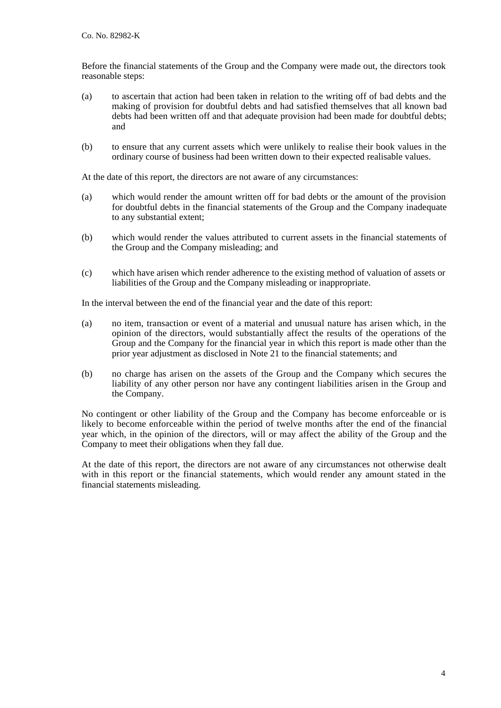Before the financial statements of the Group and the Company were made out, the directors took reasonable steps:

- (a) to ascertain that action had been taken in relation to the writing off of bad debts and the making of provision for doubtful debts and had satisfied themselves that all known bad debts had been written off and that adequate provision had been made for doubtful debts; and
- (b) to ensure that any current assets which were unlikely to realise their book values in the ordinary course of business had been written down to their expected realisable values.

At the date of this report, the directors are not aware of any circumstances:

- (a) which would render the amount written off for bad debts or the amount of the provision for doubtful debts in the financial statements of the Group and the Company inadequate to any substantial extent;
- (b) which would render the values attributed to current assets in the financial statements of the Group and the Company misleading; and
- (c) which have arisen which render adherence to the existing method of valuation of assets or liabilities of the Group and the Company misleading or inappropriate.

In the interval between the end of the financial year and the date of this report:

- (a) no item, transaction or event of a material and unusual nature has arisen which, in the opinion of the directors, would substantially affect the results of the operations of the Group and the Company for the financial year in which this report is made other than the prior year adjustment as disclosed in Note 21 to the financial statements; and
- (b) no charge has arisen on the assets of the Group and the Company which secures the liability of any other person nor have any contingent liabilities arisen in the Group and the Company.

No contingent or other liability of the Group and the Company has become enforceable or is likely to become enforceable within the period of twelve months after the end of the financial year which, in the opinion of the directors, will or may affect the ability of the Group and the Company to meet their obligations when they fall due.

At the date of this report, the directors are not aware of any circumstances not otherwise dealt with in this report or the financial statements, which would render any amount stated in the financial statements misleading.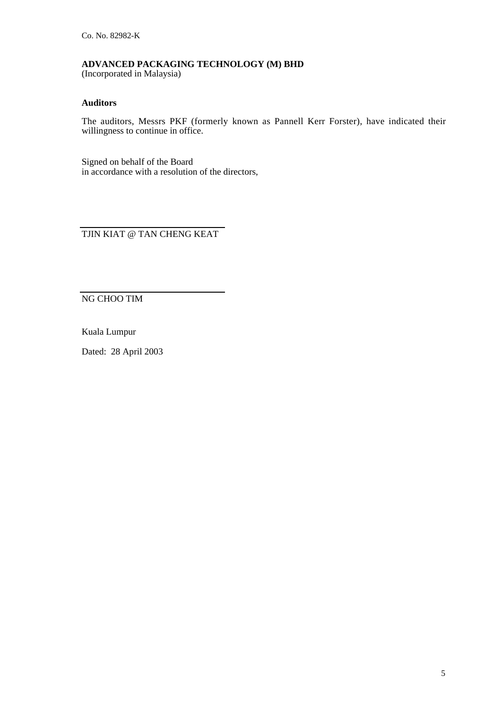#### **ADVANCED PACKAGING TECHNOLOGY (M) BHD** (Incorporated in Malaysia)

## **Auditors**

The auditors, Messrs PKF (formerly known as Pannell Kerr Forster), have indicated their willingness to continue in office.

Signed on behalf of the Board in accordance with a resolution of the directors,

TJIN KIAT @ TAN CHENG KEAT

NG CHOO TIM

Kuala Lumpur

Dated: 28 April 2003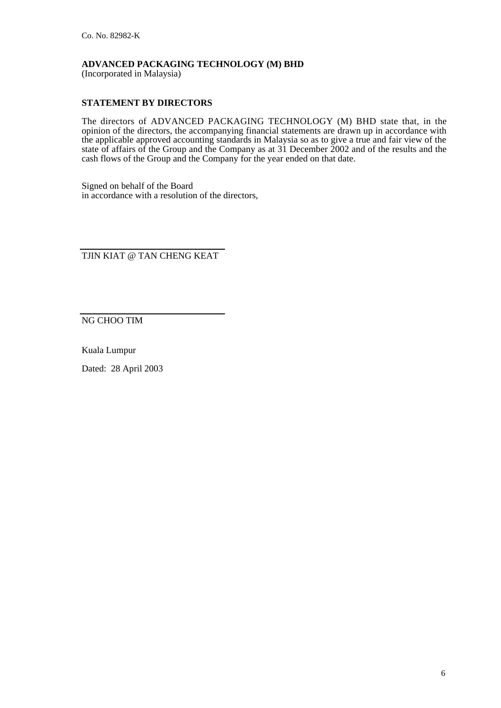(Incorporated in Malaysia)

## **STATEMENT BY DIRECTORS**

The directors of ADVANCED PACKAGING TECHNOLOGY (M) BHD state that, in the opinion of the directors, the accompanying financial statements are drawn up in accordance with the applicable approved accounting standards in Malaysia so as to give a true and fair view of the state of affairs of the Group and the Company as at 31 December 2002 and of the results and the cash flows of the Group and the Company for the year ended on that date.

Signed on behalf of the Board in accordance with a resolution of the directors,

TJIN KIAT @ TAN CHENG KEAT

NG CHOO TIM

Kuala Lumpur

Dated: 28 April 2003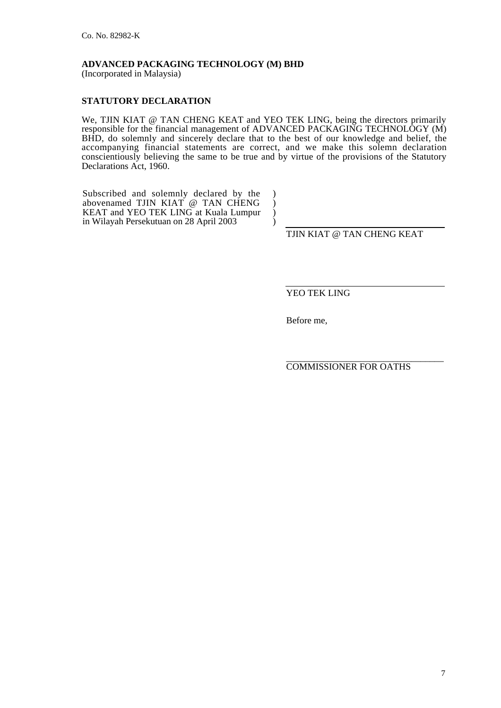(Incorporated in Malaysia)

## **STATUTORY DECLARATION**

We, TJIN KIAT @ TAN CHENG KEAT and YEO TEK LING, being the directors primarily responsible for the financial management of ADVANCED PACKAGING TECHNOLOGY (M) BHD, do solemnly and sincerely declare that to the best of our knowledge and belief, the accompanying financial statements are correct, and we make this solemn declaration conscientiously believing the same to be true and by virtue of the provisions of the Statutory Declarations Act, 1960.

> $\lambda$  $\lambda$ ) )

Subscribed and solemnly declared by the abovenamed TJIN KIAT @ TAN CHENG KEAT and YEO TEK LING at Kuala Lumpur in Wilayah Persekutuan on 28 April 2003

TJIN KIAT @ TAN CHENG KEAT

YEO TEK LING

Before me,

\_\_\_\_\_\_\_\_\_\_\_\_\_\_\_\_\_\_\_\_\_\_\_\_\_\_\_\_\_\_\_\_\_\_ COMMISSIONER FOR OATHS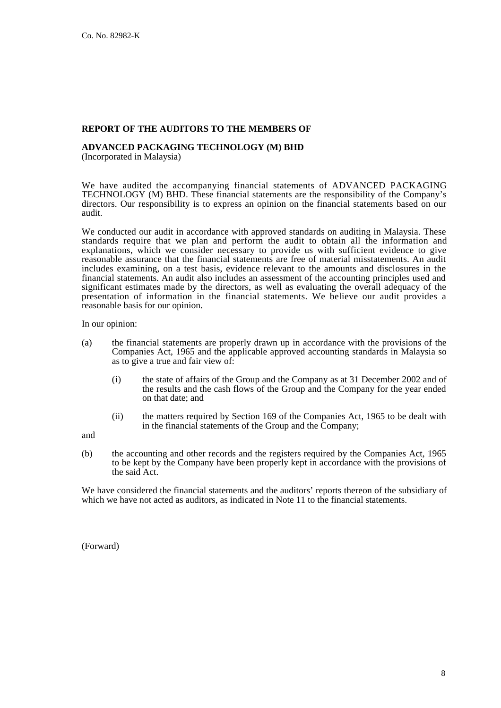#### **REPORT OF THE AUDITORS TO THE MEMBERS OF**

# **ADVANCED PACKAGING TECHNOLOGY (M) BHD**

(Incorporated in Malaysia)

We have audited the accompanying financial statements of ADVANCED PACKAGING TECHNOLOGY (M) BHD. These financial statements are the responsibility of the Company's directors. Our responsibility is to express an opinion on the financial statements based on our audit.

We conducted our audit in accordance with approved standards on auditing in Malaysia. These standards require that we plan and perform the audit to obtain all the information and explanations, which we consider necessary to provide us with sufficient evidence to give reasonable assurance that the financial statements are free of material misstatements. An audit includes examining, on a test basis, evidence relevant to the amounts and disclosures in the financial statements. An audit also includes an assessment of the accounting principles used and significant estimates made by the directors, as well as evaluating the overall adequacy of the presentation of information in the financial statements. We believe our audit provides a reasonable basis for our opinion.

In our opinion:

- (a) the financial statements are properly drawn up in accordance with the provisions of the Companies Act, 1965 and the applicable approved accounting standards in Malaysia so as to give a true and fair view of:
	- (i) the state of affairs of the Group and the Company as at 31 December 2002 and of the results and the cash flows of the Group and the Company for the year ended on that date; and
	- (ii) the matters required by Section 169 of the Companies Act, 1965 to be dealt with in the financial statements of the Group and the Company;

and

(b) the accounting and other records and the registers required by the Companies Act, 1965 to be kept by the Company have been properly kept in accordance with the provisions of the said Act.

We have considered the financial statements and the auditors' reports thereon of the subsidiary of which we have not acted as auditors, as indicated in Note 11 to the financial statements.

(Forward)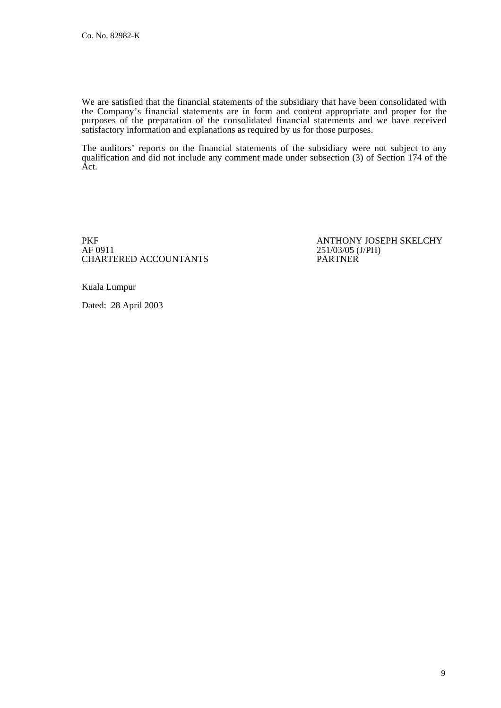We are satisfied that the financial statements of the subsidiary that have been consolidated with the Company's financial statements are in form and content appropriate and proper for the purposes of the preparation of the consolidated financial statements and we have received satisfactory information and explanations as required by us for those purposes.

The auditors' reports on the financial statements of the subsidiary were not subject to any qualification and did not include any comment made under subsection (3) of Section 174 of the Act.

PKF<br>AF 0911 251/03/05 (J/PH)<br>251/03/05 (J/PH) CHARTERED ACCOUNTANTS

251/03/05 (J/PH)<br>PARTNER

Kuala Lumpur

Dated: 28 April 2003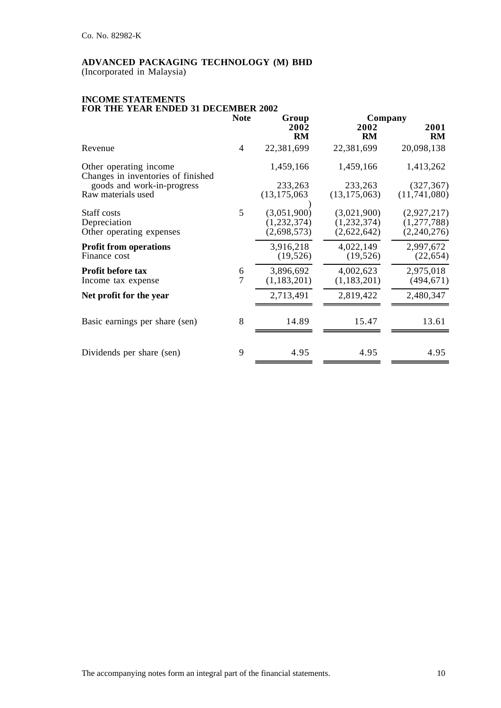(Incorporated in Malaysia)

#### **INCOME STATEMENTS FOR THE YEAR ENDED 31 DECEMBER 2002**

|                                                              | <b>Note</b>         | Group                                     | Company                                   |                                           |
|--------------------------------------------------------------|---------------------|-------------------------------------------|-------------------------------------------|-------------------------------------------|
|                                                              |                     | 2002<br><b>RM</b>                         | 2002<br><b>RM</b>                         | 2001<br><b>RM</b>                         |
| Revenue                                                      | 4                   | 22,381,699                                | 22,381,699                                | 20,098,138                                |
| Other operating income<br>Changes in inventories of finished |                     | 1,459,166                                 | 1,459,166                                 | 1,413,262                                 |
| goods and work-in-progress                                   |                     | 233,263                                   | 233,263                                   | (327, 367)                                |
| Raw materials used                                           |                     | (13, 175, 063)                            | (13, 175, 063)                            | (11,741,080)                              |
| Staff costs<br>Depreciation<br>Other operating expenses      | 5                   | (3,051,900)<br>(1,232,374)<br>(2,698,573) | (3,021,900)<br>(1,232,374)<br>(2,622,642) | (2,927,217)<br>(1,277,788)<br>(2,240,276) |
| <b>Profit from operations</b><br>Finance cost                |                     | 3,916,218<br>(19, 526)                    | 4,022,149<br>(19, 526)                    | 2,997,672<br>(22, 654)                    |
| Profit before tax<br>Income tax expense                      | 6<br>$\overline{7}$ | 3,896,692<br>(1,183,201)                  | 4,002,623<br>(1,183,201)                  | 2,975,018<br>(494, 671)                   |
| Net profit for the year                                      |                     | 2,713,491                                 | 2,819,422                                 | 2,480,347                                 |
| Basic earnings per share (sen)                               | 8                   | 14.89                                     | 15.47                                     | 13.61                                     |
| Dividends per share (sen)                                    | 9                   | 4.95                                      | 4.95                                      | 4.95                                      |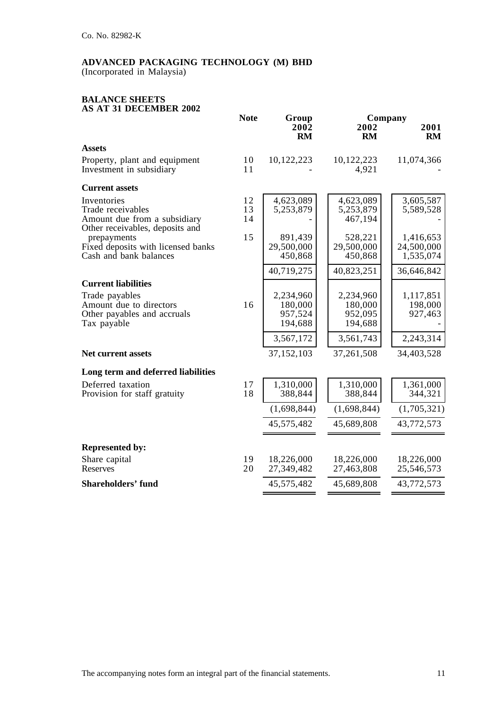(Incorporated in Malaysia)

#### **BALANCE SHEETS AS AT 31 DECEMBER 2002**

|                                                                                                                       | <b>Note</b><br>Group |                                            |                                            | Company                              |  |
|-----------------------------------------------------------------------------------------------------------------------|----------------------|--------------------------------------------|--------------------------------------------|--------------------------------------|--|
|                                                                                                                       |                      | 2002<br>RM                                 | 2002<br><b>RM</b>                          | 2001<br>RM                           |  |
| <b>Assets</b>                                                                                                         |                      |                                            |                                            |                                      |  |
| Property, plant and equipment<br>Investment in subsidiary                                                             | 10<br>11             | 10,122,223                                 | 10,122,223<br>4,921                        | 11,074,366                           |  |
| <b>Current assets</b>                                                                                                 |                      |                                            |                                            |                                      |  |
| Inventories<br>Trade receivables<br>Amount due from a subsidiary<br>Other receivables, deposits and                   | 12<br>13<br>14       | 4,623,089<br>5,253,879                     | 4,623,089<br>5,253,879<br>467,194          | 3,605,587<br>5,589,528               |  |
| prepayments<br>Fixed deposits with licensed banks<br>Cash and bank balances                                           | 15                   | 891,439<br>29,500,000<br>450,868           | 528,221<br>29,500,000<br>450,868           | 1,416,653<br>24,500,000<br>1,535,074 |  |
|                                                                                                                       |                      | 40,719,275                                 | 40,823,251                                 | 36,646,842                           |  |
| <b>Current liabilities</b><br>Trade payables<br>Amount due to directors<br>Other payables and accruals<br>Tax payable | 16                   | 2,234,960<br>180,000<br>957,524<br>194,688 | 2,234,960<br>180,000<br>952,095<br>194,688 | 1,117,851<br>198,000<br>927,463      |  |
|                                                                                                                       |                      | 3,567,172                                  | 3,561,743                                  | 2,243,314                            |  |
| <b>Net current assets</b>                                                                                             |                      | 37,152,103                                 | 37,261,508                                 | 34,403,528                           |  |
| Long term and deferred liabilities                                                                                    |                      |                                            |                                            |                                      |  |
| Deferred taxation<br>Provision for staff gratuity                                                                     | 17<br>18             | 1,310,000<br>388,844                       | 1,310,000<br>388,844                       | 1,361,000<br>344,321                 |  |
|                                                                                                                       |                      | (1,698,844)                                | (1,698,844)                                | (1,705,321)                          |  |
|                                                                                                                       |                      | 45,575,482                                 | 45,689,808                                 | 43,772,573                           |  |
| <b>Represented by:</b>                                                                                                |                      |                                            |                                            |                                      |  |
| Share capital<br>Reserves                                                                                             | 19<br>20             | 18,226,000<br>27,349,482                   | 18,226,000<br>27,463,808                   | 18,226,000<br>25,546,573             |  |
| <b>Shareholders' fund</b>                                                                                             |                      | 45,575,482                                 | 45,689,808                                 | 43,772,573                           |  |
|                                                                                                                       |                      |                                            |                                            |                                      |  |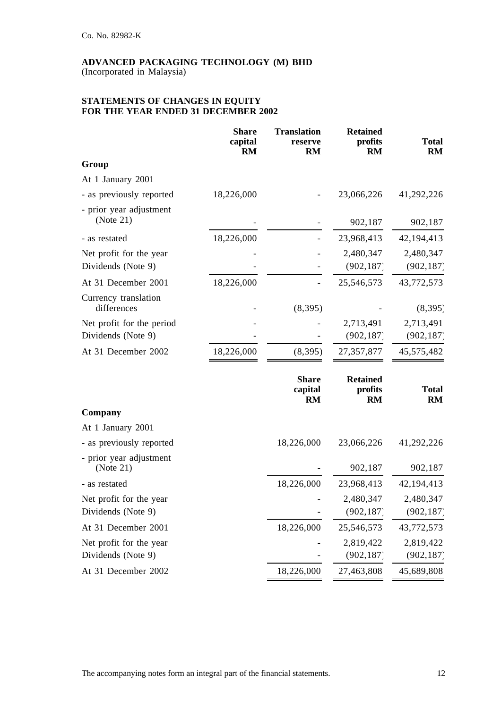(Incorporated in Malaysia)

## **STATEMENTS OF CHANGES IN EQUITY FOR THE YEAR ENDED 31 DECEMBER 2002**

|                                      | <b>Share</b><br>capital<br><b>RM</b> | <b>Translation</b><br>reserve<br><b>RM</b> | <b>Retained</b><br>profits<br><b>RM</b> | <b>Total</b><br><b>RM</b> |
|--------------------------------------|--------------------------------------|--------------------------------------------|-----------------------------------------|---------------------------|
| Group                                |                                      |                                            |                                         |                           |
| At 1 January 2001                    |                                      |                                            |                                         |                           |
| - as previously reported             | 18,226,000                           |                                            | 23,066,226                              | 41,292,226                |
| - prior year adjustment<br>(Note 21) |                                      |                                            | 902,187                                 | 902,187                   |
| - as restated                        | 18,226,000                           |                                            | 23,968,413                              | 42,194,413                |
| Net profit for the year              |                                      |                                            | 2,480,347                               | 2,480,347                 |
| Dividends (Note 9)                   |                                      |                                            | (902, 187)                              | (902, 187)                |
| At 31 December 2001                  | 18,226,000                           |                                            | 25,546,573                              | 43,772,573                |
| Currency translation<br>differences  |                                      | (8, 395)                                   |                                         | (8, 395)                  |
| Net profit for the period            |                                      |                                            | 2,713,491                               | 2,713,491                 |
| Dividends (Note 9)                   |                                      |                                            | (902, 187)                              | (902, 187)                |
| At 31 December 2002                  | 18,226,000                           | (8,395)                                    | 27,357,877                              | 45,575,482                |
|                                      |                                      | <b>Share</b><br>capital<br><b>RM</b>       | <b>Retained</b><br>profits<br><b>RM</b> | <b>Total</b><br><b>RM</b> |
| Company                              |                                      |                                            |                                         |                           |
| At 1 January 2001                    |                                      |                                            |                                         |                           |
| - as previously reported             |                                      | 18,226,000                                 | 23,066,226                              | 41,292,226                |
| - prior year adjustment<br>(Note 21) |                                      |                                            | 902,187                                 | 902,187                   |
| - as restated                        |                                      | 18,226,000                                 | 23,968,413                              | 42, 194, 413              |
| Net profit for the year              |                                      |                                            | 2,480,347                               | 2,480,347                 |
| Dividends (Note 9)                   |                                      |                                            | (902, 187)                              | (902, 187)                |
| At 31 December 2001                  |                                      | 18,226,000                                 | 25,546,573                              | 43,772,573                |
| Net profit for the year              |                                      |                                            | 2,819,422                               | 2,819,422                 |
| Dividends (Note 9)                   |                                      |                                            | (902, 187)                              | (902, 187)                |
| At 31 December 2002                  |                                      | 18,226,000                                 | 27,463,808                              | 45,689,808                |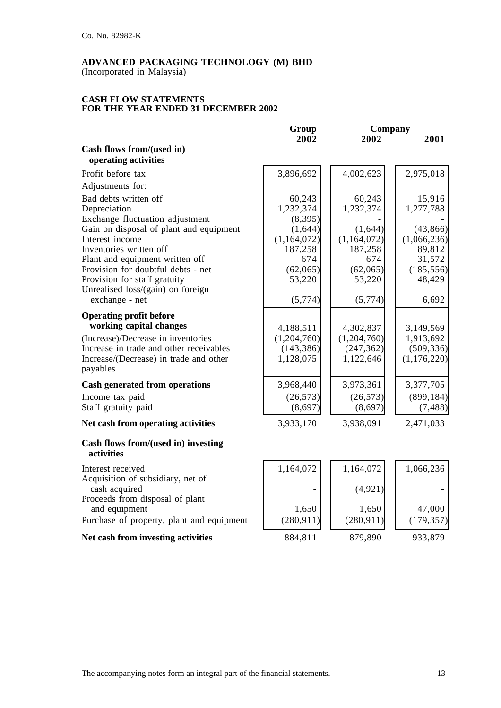(Incorporated in Malaysia)

#### **CASH FLOW STATEMENTS FOR THE YEAR ENDED 31 DECEMBER 2002**

|                                                                               | Group                     | Company                   |                         |
|-------------------------------------------------------------------------------|---------------------------|---------------------------|-------------------------|
|                                                                               | 2002                      | 2002                      | 2001                    |
| Cash flows from/(used in)                                                     |                           |                           |                         |
| operating activities                                                          |                           |                           |                         |
| Profit before tax                                                             | 3,896,692                 | 4,002,623                 | 2,975,018               |
| Adjustments for:                                                              |                           |                           |                         |
| Bad debts written off                                                         | 60,243                    | 60,243                    | 15,916                  |
| Depreciation                                                                  | 1,232,374                 | 1,232,374                 | 1,277,788               |
| Exchange fluctuation adjustment                                               | (8, 395)                  |                           |                         |
| Gain on disposal of plant and equipment                                       | (1,644)                   | (1,644)                   | (43, 866)               |
| Interest income                                                               | (1,164,072)               | (1,164,072)               | (1,066,236)             |
| Inventories written off                                                       | 187,258                   | 187,258                   | 89,812                  |
| Plant and equipment written off                                               | 674                       | 674                       | 31,572                  |
| Provision for doubtful debts - net                                            | (62,065)                  | (62,065)                  | (185, 556)              |
| Provision for staff gratuity                                                  | 53,220                    | 53,220                    | 48,429                  |
| Unrealised loss/(gain) on foreign                                             |                           |                           |                         |
| exchange - net                                                                | (5,774)                   | (5,774)                   | 6,692                   |
| <b>Operating profit before</b>                                                |                           |                           |                         |
| working capital changes                                                       |                           |                           |                         |
|                                                                               | 4,188,511                 | 4,302,837                 | 3,149,569               |
| (Increase)/Decrease in inventories<br>Increase in trade and other receivables | (1,204,760)<br>(143, 386) | (1,204,760)<br>(247, 362) | 1,913,692<br>(509, 336) |
| Increase/(Decrease) in trade and other                                        | 1,128,075                 | 1,122,646                 | (1,176,220)             |
| payables                                                                      |                           |                           |                         |
|                                                                               |                           |                           |                         |
| <b>Cash generated from operations</b>                                         | 3,968,440                 | 3,973,361                 | 3,377,705               |
| Income tax paid                                                               | (26, 573)                 | (26, 573)                 | (899, 184)              |
| Staff gratuity paid                                                           | (8,697)                   | (8,697)                   | (7, 488)                |
| Net cash from operating activities                                            | 3,933,170                 | 3,938,091                 | 2,471,033               |
| Cash flows from/(used in) investing<br>activities                             |                           |                           |                         |
| Interest received                                                             | 1,164,072                 | 1,164,072                 | 1,066,236               |
| Acquisition of subsidiary, net of                                             |                           |                           |                         |
| cash acquired                                                                 |                           | (4, 921)                  |                         |
| Proceeds from disposal of plant                                               |                           |                           |                         |
| and equipment                                                                 | 1,650                     | 1,650                     | 47,000                  |
| Purchase of property, plant and equipment                                     | (280, 911)                | (280, 911)                | (179, 357)              |
| Net cash from investing activities                                            | 884,811                   | 879,890                   | 933,879                 |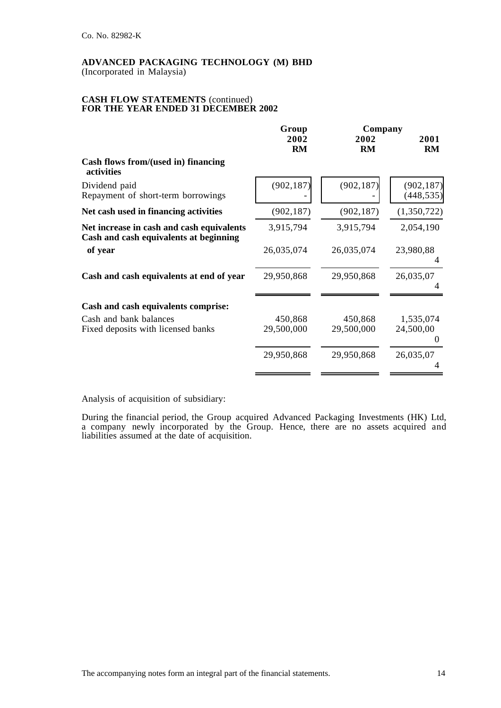(Incorporated in Malaysia)

#### **CASH FLOW STATEMENTS** (continued) **FOR THE YEAR ENDED 31 DECEMBER 2002**

|                                                                                     | Group                 | Company               |                             |
|-------------------------------------------------------------------------------------|-----------------------|-----------------------|-----------------------------|
|                                                                                     | 2002<br><b>RM</b>     | 2002<br><b>RM</b>     | 2001<br><b>RM</b>           |
| Cash flows from/(used in) financing<br>activities                                   |                       |                       |                             |
| Dividend paid<br>Repayment of short-term borrowings                                 | (902, 187)            | (902, 187)            | (902, 187)<br>(448, 535)    |
| Net cash used in financing activities                                               | (902, 187)            | (902, 187)            | (1,350,722)                 |
| Net increase in cash and cash equivalents<br>Cash and cash equivalents at beginning | 3,915,794             | 3,915,794             | 2,054,190                   |
| of year                                                                             | 26,035,074            | 26,035,074            | 23,980,88<br>4              |
| Cash and cash equivalents at end of year                                            | 29,950,868            | 29,950,868            | 26,035,07                   |
| Cash and cash equivalents comprise:                                                 |                       |                       |                             |
| Cash and bank balances<br>Fixed deposits with licensed banks                        | 450,868<br>29,500,000 | 450,868<br>29,500,000 | 1,535,074<br>24,500,00<br>0 |
|                                                                                     | 29,950,868            | 29,950,868            | 26,035,07                   |
|                                                                                     |                       |                       |                             |

Analysis of acquisition of subsidiary:

During the financial period, the Group acquired Advanced Packaging Investments (HK) Ltd, a company newly incorporated by the Group. Hence, there are no assets acquired and liabilities assumed at the date of acquisition.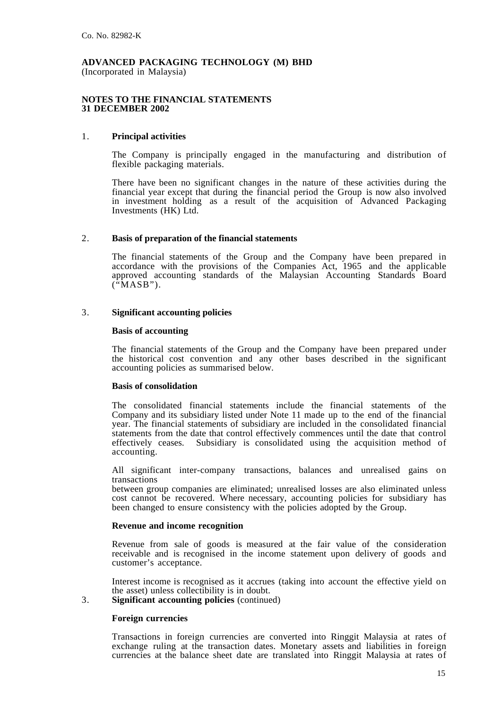(Incorporated in Malaysia)

#### **NOTES TO THE FINANCIAL STATEMENTS 31 DECEMBER 2002**

### 1. **Principal activities**

The Company is principally engaged in the manufacturing and distribution of flexible packaging materials.

There have been no significant changes in the nature of these activities during the financial year except that during the financial period the Group is now also involved in investment holding as a result of the acquisition of Advanced Packaging Investments (HK) Ltd.

#### 2. **Basis of preparation of the financial statements**

The financial statements of the Group and the Company have been prepared in accordance with the provisions of the Companies Act, 1965 and the applicable approved accounting standards of the Malaysian Accounting Standards Board  $(^{^\alpha}MASB")$ .

## 3. **Significant accounting policies**

#### **Basis of accounting**

The financial statements of the Group and the Company have been prepared under the historical cost convention and any other bases described in the significant accounting policies as summarised below.

#### **Basis of consolidation**

The consolidated financial statements include the financial statements of the Company and its subsidiary listed under Note 11 made up to the end of the financial year. The financial statements of subsidiary are included in the consolidated financial statements from the date that control effectively commences until the date that control effectively ceases. Subsidiary is consolidated using the acquisition method of accounting.

All significant inter-company transactions, balances and unrealised gains on

transactions<br>between group companies are eliminated; unrealised losses are also eliminated unless cost cannot be recovered. Where necessary, accounting policies for subsidiary has been changed to ensure consistency with the policies adopted by the Group.

#### **Revenue and income recognition**

Revenue from sale of goods is measured at the fair value of the consideration receivable and is recognised in the income statement upon delivery of goods and customer's acceptance.

Interest income is recognised as it accrues (taking into account the effective yield on the asset) unless collectibility is in doubt.

3. **Significant accounting policies** (continued)

#### **Foreign currencies**

Transactions in foreign currencies are converted into Ringgit Malaysia at rates of exchange ruling at the transaction dates. Monetary assets and liabilities in foreign currencies at the balance sheet date are translated into Ringgit Malaysia at rates of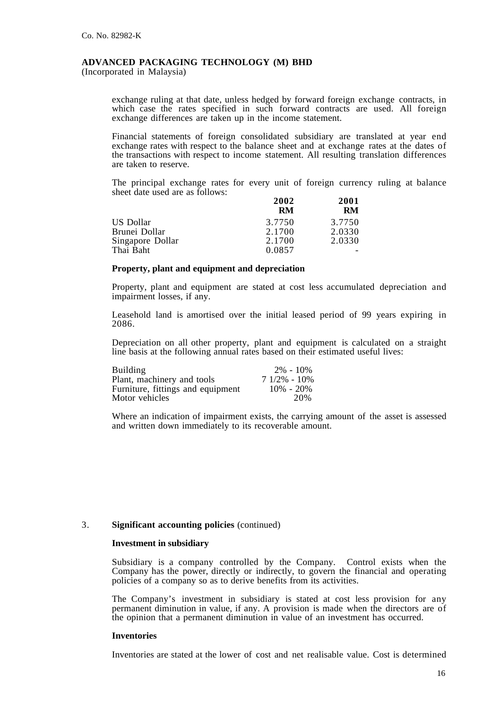(Incorporated in Malaysia)

exchange ruling at that date, unless hedged by forward foreign exchange contracts, in which case the rates specified in such forward contracts are used. All foreign exchange differences are taken up in the income statement.

Financial statements of foreign consolidated subsidiary are translated at year end exchange rates with respect to the balance sheet and at exchange rates at the dates of the transactions with respect to income statement. All resulting translation differences are taken to reserve.

The principal exchange rates for every unit of foreign currency ruling at balance sheet date used are as follows:

|                  | 2002   | 2001   |
|------------------|--------|--------|
|                  | RM     | RM     |
| US Dollar        | 3.7750 | 3.7750 |
| Brunei Dollar    | 2.1700 | 2.0330 |
| Singapore Dollar | 2.1700 | 2.0330 |
| Thai Baht        | 0.0857 |        |

#### **Property, plant and equipment and depreciation**

Property, plant and equipment are stated at cost less accumulated depreciation and impairment losses, if any.

Leasehold land is amortised over the initial leased period of 99 years expiring in 2086.

Depreciation on all other property, plant and equipment is calculated on a straight line basis at the following annual rates based on their estimated useful lives:

| <b>Building</b>                   | $2\% - 10\%$    |
|-----------------------------------|-----------------|
| Plant, machinery and tools        | $71/2\% - 10\%$ |
| Furniture, fittings and equipment | $10\% - 20\%$   |
| Motor vehicles                    | 20%             |

Where an indication of impairment exists, the carrying amount of the asset is assessed and written down immediately to its recoverable amount.

#### 3. **Significant accounting policies** (continued)

#### **Investment in subsidiary**

Subsidiary is a company controlled by the Company. Control exists when the Company has the power, directly or indirectly, to govern the financial and operating policies of a company so as to derive benefits from its activities.

The Company's investment in subsidiary is stated at cost less provision for any permanent diminution in value, if any. A provision is made when the directors are of the opinion that a permanent diminution in value of an investment has occurred.

#### **Inventories**

Inventories are stated at the lower of cost and net realisable value. Cost is determined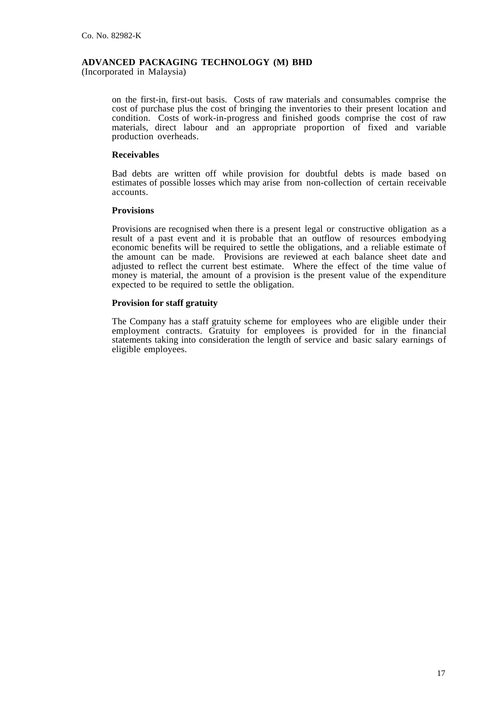(Incorporated in Malaysia)

on the first-in, first-out basis. Costs of raw materials and consumables comprise the cost of purchase plus the cost of bringing the inventories to their present location and condition. Costs of work-in-progress and finished goods comprise the cost of raw materials, direct labour and an appropriate proportion of fixed and variable production overheads.

#### **Receivables**

Bad debts are written off while provision for doubtful debts is made based on estimates of possible losses which may arise from non-collection of certain receivable accounts.

#### **Provisions**

Provisions are recognised when there is a present legal or constructive obligation as a result of a past event and it is probable that an outflow of resources embodying economic benefits will be required to settle the obligations, and a reliable estimate of the amount can be made. Provisions are reviewed at each balance sheet date and adjusted to reflect the current best estimate. Where the effect of the time value of money is material, the amount of a provision is the present value of the expenditure expected to be required to settle the obligation.

#### **Provision for staff gratuity**

The Company has a staff gratuity scheme for employees who are eligible under their employment contracts. Gratuity for employees is provided for in the financial statements taking into consideration the length of service and basic salary earnings of eligible employees.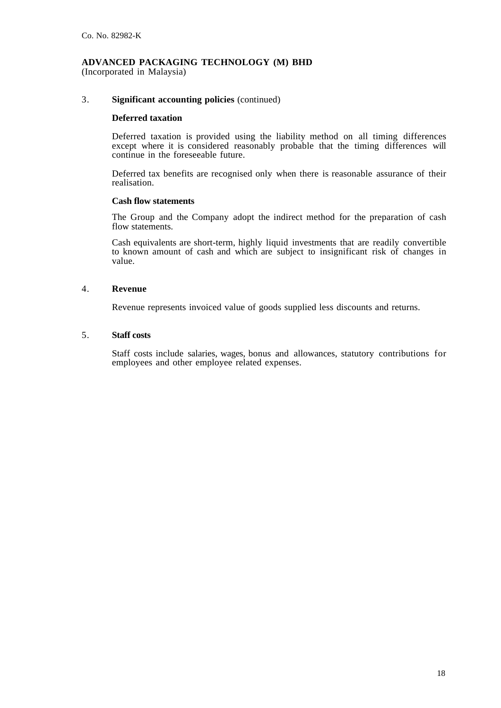(Incorporated in Malaysia)

#### 3. **Significant accounting policies** (continued)

#### **Deferred taxation**

Deferred taxation is provided using the liability method on all timing differences except where it is considered reasonably probable that the timing differences will continue in the foreseeable future.

Deferred tax benefits are recognised only when there is reasonable assurance of their realisation.

### **Cash flow statements**

The Group and the Company adopt the indirect method for the preparation of cash flow statements.

Cash equivalents are short-term, highly liquid investments that are readily convertible to known amount of cash and which are subject to insignificant risk of changes in value.

#### 4. **Revenue**

Revenue represents invoiced value of goods supplied less discounts and returns.

#### 5. **Staff costs**

Staff costs include salaries, wages, bonus and allowances, statutory contributions for employees and other employee related expenses.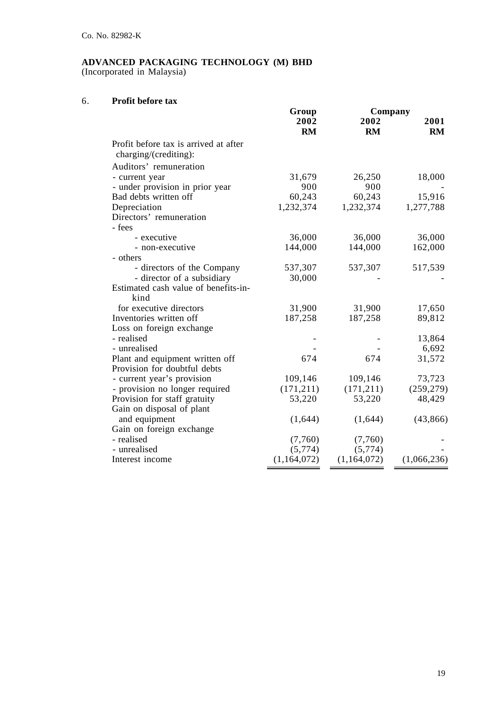(Incorporated in Malaysia)

## 6. **Profit before tax**

|                                                                | Group<br>Company |             |             |
|----------------------------------------------------------------|------------------|-------------|-------------|
|                                                                | 2002             | 2002        | 2001        |
|                                                                | <b>RM</b>        | <b>RM</b>   | <b>RM</b>   |
| Profit before tax is arrived at after<br>charging/(crediting): |                  |             |             |
| Auditors' remuneration                                         |                  |             |             |
| - current year                                                 | 31,679           | 26,250      | 18,000      |
| - under provision in prior year                                | 900              | 900         |             |
| Bad debts written off                                          | 60,243           | 60,243      | 15,916      |
| Depreciation                                                   | 1,232,374        | 1,232,374   | 1,277,788   |
| Directors' remuneration                                        |                  |             |             |
| - fees                                                         |                  |             |             |
| - executive                                                    | 36,000           | 36,000      | 36,000      |
| - non-executive                                                | 144,000          | 144,000     | 162,000     |
| - others                                                       |                  |             |             |
| - directors of the Company                                     | 537,307          | 537,307     | 517,539     |
| - director of a subsidiary                                     | 30,000           |             |             |
| Estimated cash value of benefits-in-                           |                  |             |             |
| kind                                                           |                  |             |             |
| for executive directors                                        | 31,900           | 31,900      | 17,650      |
| Inventories written off                                        | 187,258          | 187,258     | 89,812      |
| Loss on foreign exchange                                       |                  |             |             |
| - realised                                                     |                  |             | 13,864      |
| - unrealised                                                   |                  |             | 6,692       |
| Plant and equipment written off                                | 674              | 674         | 31,572      |
| Provision for doubtful debts                                   |                  |             |             |
| - current year's provision                                     | 109,146          | 109,146     | 73,723      |
| - provision no longer required                                 | (171, 211)       | (171, 211)  | (259, 279)  |
| Provision for staff gratuity                                   | 53,220           | 53,220      | 48,429      |
| Gain on disposal of plant                                      |                  |             |             |
| and equipment                                                  | (1,644)          | (1,644)     | (43, 866)   |
| Gain on foreign exchange                                       |                  |             |             |
| - realised                                                     | (7,760)          | (7,760)     |             |
| - unrealised                                                   | (5,774)          | (5,774)     |             |
| Interest income                                                | (1,164,072)      | (1,164,072) | (1,066,236) |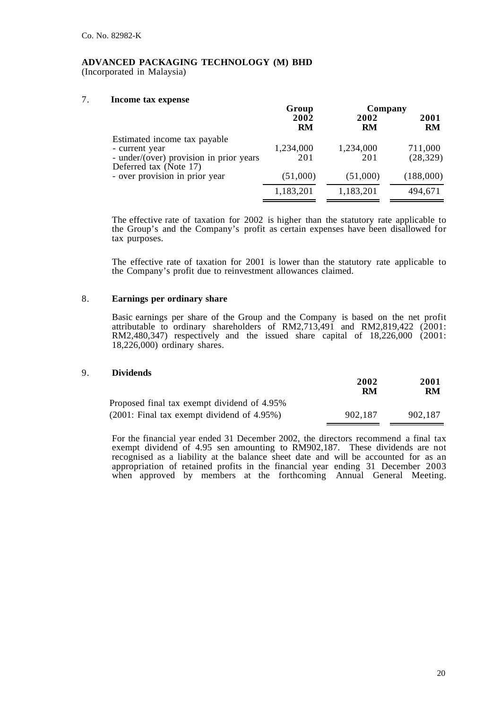(Incorporated in Malaysia)

## 7. **Income tax expense**

|                                                                                                                     | Group             | Company          |                      |
|---------------------------------------------------------------------------------------------------------------------|-------------------|------------------|----------------------|
|                                                                                                                     | 2002<br><b>RM</b> | 2002<br>RM       | 2001<br>RM           |
| Estimated income tax payable<br>- current year<br>- under/(over) provision in prior years<br>Deferred tax (Note 17) | 1,234,000<br>201  | 1,234,000<br>201 | 711,000<br>(28, 329) |
| - over provision in prior year                                                                                      | (51,000)          | (51,000)         | (188,000)            |
|                                                                                                                     | 1,183,201         | 1,183,201        | 494,671              |

The effective rate of taxation for 2002 is higher than the statutory rate applicable to the Group's and the Company's profit as certain expenses have been disallowed for tax purposes.

The effective rate of taxation for 2001 is lower than the statutory rate applicable to the Company's profit due to reinvestment allowances claimed.

## 8. **Earnings per ordinary share**

Basic earnings per share of the Group and the Company is based on the net profit attributable to ordinary shareholders of RM2,713,491 and RM2,819,422 (2001: RM2,480,347) respectively and the issued share capital of 18,226,000 (2001: 18,226,000) ordinary shares.

## 9. **Dividends**

|                                              | 2002<br>RM | 2001<br>RM |
|----------------------------------------------|------------|------------|
| Proposed final tax exempt dividend of 4.95%  |            |            |
| $(2001:$ Final tax exempt dividend of 4.95%) | 902.187    | 902.187    |

For the financial year ended 31 December 2002, the directors recommend a final tax exempt dividend of 4.95 sen amounting to RM902,187. These dividends are not recognised as a liability at the balance sheet date and will be accounted for as an appropriation of retained profits in the financial year ending 31 December 2003 when approved by members at the forthcoming Annual General Meeting.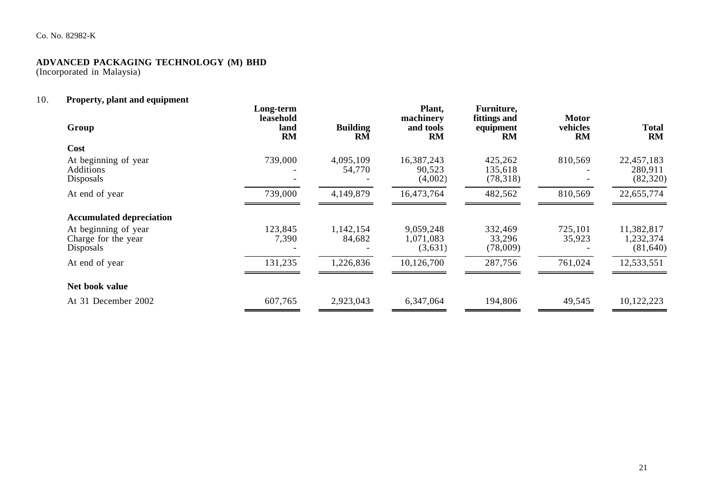## Co. No. 82982-K

## **ADVANCED PACKAGING TECHNOLOGY (M) BHD**

(Incorporated in Malaysia)

## 10. **Property, plant and equipment**

| Group                                                    | Long-term<br>leasehold<br>land<br><b>RM</b> | <b>Building</b><br><b>RM</b> | Plant,<br>machinery<br>and tools<br><b>RM</b> | Furniture,<br>fittings and<br>equipment<br><b>RM</b> | <b>Motor</b><br>vehicles<br>RM | <b>Total</b><br>RM                   |
|----------------------------------------------------------|---------------------------------------------|------------------------------|-----------------------------------------------|------------------------------------------------------|--------------------------------|--------------------------------------|
| Cost                                                     |                                             |                              |                                               |                                                      |                                |                                      |
| At beginning of year<br><b>Additions</b><br>Disposals    | 739,000                                     | 4,095,109<br>54,770          | 16,387,243<br>90,523<br>(4,002)               | 425,262<br>135,618<br>(78,318)                       | 810,569                        | 22,457,183<br>280,911<br>(82,320)    |
| At end of year                                           | 739,000                                     | 4,149,879                    | 16,473,764                                    | 482,562                                              | 810,569                        | 22,655,774                           |
| <b>Accumulated depreciation</b>                          |                                             |                              |                                               |                                                      |                                |                                      |
| At beginning of year<br>Charge for the year<br>Disposals | 123,845<br>7,390                            | 1,142,154<br>84,682          | 9,059,248<br>1,071,083<br>(3,631)             | 332,469<br>33,296<br>(78,009)                        | 725,101<br>35,923              | 11,382,817<br>1,232,374<br>(81, 640) |
| At end of year                                           | 131,235                                     | 1,226,836                    | 10,126,700                                    | 287,756                                              | 761,024                        | 12,533,551                           |
| Net book value                                           |                                             |                              |                                               |                                                      |                                |                                      |
| At 31 December 2002                                      | 607,765                                     | 2,923,043                    | 6,347,064                                     | 194,806                                              | 49,545                         | 10,122,223                           |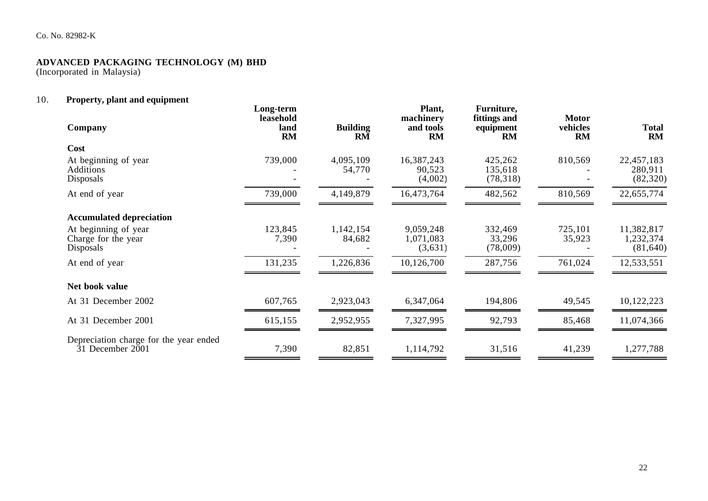## Co. No. 82982-K

## **ADVANCED PACKAGING TECHNOLOGY (M) BHD**

(Incorporated in Malaysia)

## 10. **Property, plant and equipment**

| Company                                                        | Long-term<br>leasehold<br>land<br><b>RM</b> | <b>Building</b><br><b>RM</b> | Plant,<br>machinery<br>and tools<br>RM | Furniture,<br>fittings and<br>equipment<br>RM | <b>Motor</b><br>vehicles<br>RM | <b>Total</b><br>RM                   |
|----------------------------------------------------------------|---------------------------------------------|------------------------------|----------------------------------------|-----------------------------------------------|--------------------------------|--------------------------------------|
| Cost                                                           |                                             |                              |                                        |                                               |                                |                                      |
| At beginning of year<br><b>Additions</b><br>Disposals          | 739,000                                     | 4,095,109<br>54,770          | 16,387,243<br>90,523<br>(4,002)        | 425,262<br>135,618<br>(78,318)                | 810,569                        | 22,457,183<br>280,911<br>(82,320)    |
| At end of year                                                 | 739,000                                     | 4,149,879                    | 16,473,764                             | 482,562                                       | 810,569                        | 22,655,774                           |
| <b>Accumulated depreciation</b>                                |                                             |                              |                                        |                                               |                                |                                      |
| At beginning of year<br>Charge for the year<br>Disposals       | 123,845<br>7,390                            | 1,142,154<br>84,682          | 9,059,248<br>1,071,083<br>(3,631)      | 332,469<br>33,296<br>(78,009)                 | 725,101<br>35,923              | 11,382,817<br>1,232,374<br>(81, 640) |
| At end of year                                                 | 131,235                                     | 1,226,836                    | 10,126,700                             | 287,756                                       | 761,024                        | 12,533,551                           |
| Net book value                                                 |                                             |                              |                                        |                                               |                                |                                      |
| At 31 December 2002                                            | 607,765                                     | 2,923,043                    | 6,347,064                              | 194,806                                       | 49,545                         | 10,122,223                           |
| At 31 December 2001                                            | 615,155                                     | 2,952,955                    | 7,327,995                              | 92,793                                        | 85,468                         | 11,074,366                           |
| Depreciation charge for the year ended<br>$31$ December $2001$ | 7,390                                       | 82,851                       | 1,114,792                              | 31,516                                        | 41,239                         | 1,277,788                            |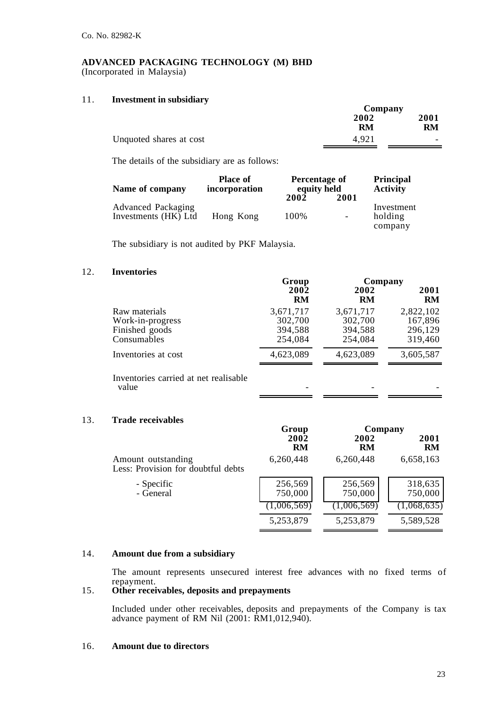(Incorporated in Malaysia)

## 11. **Investment in subsidiary**

|                         | Company    |                          |
|-------------------------|------------|--------------------------|
|                         | 2002<br>RM |                          |
|                         | 4.921      | RM                       |
| Unquoted shares at cost |            | $\overline{\phantom{0}}$ |

The details of the subsidiary are as follows:

| Name of company                                   | <b>Place of</b><br>incorporation | Percentage of<br>equity held |                          | Principal<br><b>Activity</b>     |
|---------------------------------------------------|----------------------------------|------------------------------|--------------------------|----------------------------------|
|                                                   |                                  | 2002                         | 2001                     |                                  |
| <b>Advanced Packaging</b><br>Investments (HK) Ltd | Hong Kong                        | 100%                         | $\overline{\phantom{0}}$ | Investment<br>holding<br>company |

The subsidiary is not audited by PKF Malaysia.

## 12. **Inventories**

|                                                                    | Group                                      | Company                                    |                                            |
|--------------------------------------------------------------------|--------------------------------------------|--------------------------------------------|--------------------------------------------|
|                                                                    | 2002<br><b>RM</b>                          | 2002<br><b>RM</b>                          | 2001<br><b>RM</b>                          |
| Raw materials<br>Work-in-progress<br>Finished goods<br>Consumables | 3,671,717<br>302,700<br>394,588<br>254,084 | 3,671,717<br>302,700<br>394,588<br>254,084 | 2,822,102<br>167,896<br>296,129<br>319,460 |
| Inventories at cost                                                | 4,623,089                                  | 4,623,089                                  | 3,605,587                                  |
| Inventories carried at net realisable<br>value                     |                                            |                                            |                                            |

## 13. **Trade receivables**

|                                                          |                    | Group<br>Company   |                    |
|----------------------------------------------------------|--------------------|--------------------|--------------------|
|                                                          | 2002<br><b>RM</b>  | 2002<br>RM         | 2001<br><b>RM</b>  |
| Amount outstanding<br>Less: Provision for doubtful debts | 6,260,448          | 6,260,448          | 6,658,163          |
| - Specific<br>- General                                  | 256,569<br>750,000 | 256,569<br>750,000 | 318,635<br>750,000 |
|                                                          | (1,006,569)        | (1,006,569)        | (1,068,635)        |
|                                                          | 5,253,879          | 5,253,879          | 5,589,528          |

## 14. **Amount due from a subsidiary**

The amount represents unsecured interest free advances with no fixed terms of repayment.

## 15. **Other receivables, deposits and prepayments**

Included under other receivables, deposits and prepayments of the Company is tax advance payment of RM Nil (2001: RM1,012,940).

## 16. **Amount due to directors**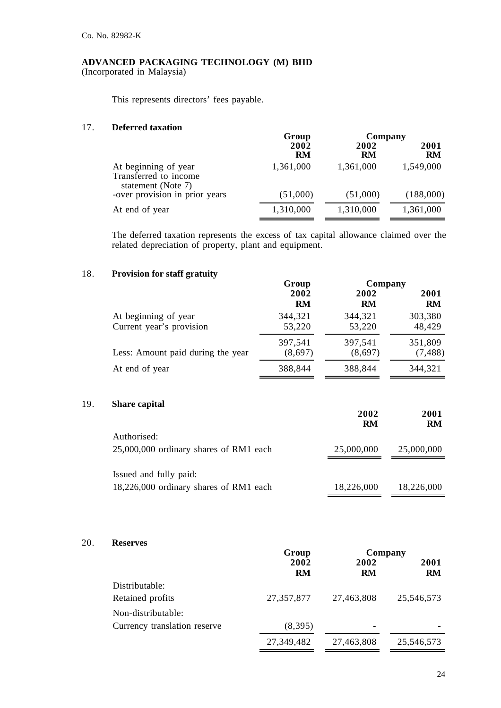(Incorporated in Malaysia)

This represents directors' fees payable.

## 17. **Deferred taxation**

|                                                                     | Group             | Company    |                   |
|---------------------------------------------------------------------|-------------------|------------|-------------------|
|                                                                     | 2002<br><b>RM</b> | 2002<br>RM | 2001<br><b>RM</b> |
| At beginning of year<br>Transferred to income<br>statement (Note 7) | 1,361,000         | 1,361,000  | 1,549,000         |
| -over provision in prior years                                      | (51,000)          | (51,000)   | (188,000)         |
| At end of year                                                      | 1,310,000         | 1,310,000  | 1,361,000         |

The deferred taxation represents the excess of tax capital allowance claimed over the related depreciation of property, plant and equipment.

## 18. **Provision for staff gratuity**

|                                   | Group     | Company   |           |  |
|-----------------------------------|-----------|-----------|-----------|--|
|                                   | 2002      | 2002      | 2001      |  |
|                                   | <b>RM</b> | <b>RM</b> | <b>RM</b> |  |
| At beginning of year              | 344,321   | 344,321   | 303,380   |  |
| Current year's provision          | 53,220    | 53,220    | 48,429    |  |
| Less: Amount paid during the year | 397,541   | 397,541   | 351,809   |  |
|                                   | (8,697)   | (8,697)   | (7, 488)  |  |
| At end of year                    | 388,844   | 388,844   | 344,321   |  |
|                                   |           |           |           |  |

## 19. **Share capital**

|                                                                  | 2002<br><b>RM</b> | 2001<br><b>RM</b> |
|------------------------------------------------------------------|-------------------|-------------------|
| Authorised:<br>25,000,000 ordinary shares of RM1 each            | 25,000,000        | 25,000,000        |
| Issued and fully paid:<br>18,226,000 ordinary shares of RM1 each | 18,226,000        | 18,226,000        |

## 20. **Reserves**

|                              | Group             | Company    |                   |
|------------------------------|-------------------|------------|-------------------|
|                              | 2002<br><b>RM</b> | 2002<br>RM | 2001<br><b>RM</b> |
| Distributable:               |                   |            |                   |
| Retained profits             | 27, 357, 877      | 27,463,808 | 25,546,573        |
| Non-distributable:           |                   |            |                   |
| Currency translation reserve | (8,395)           | -          |                   |
|                              | 27,349,482        | 27,463,808 | 25,546,573        |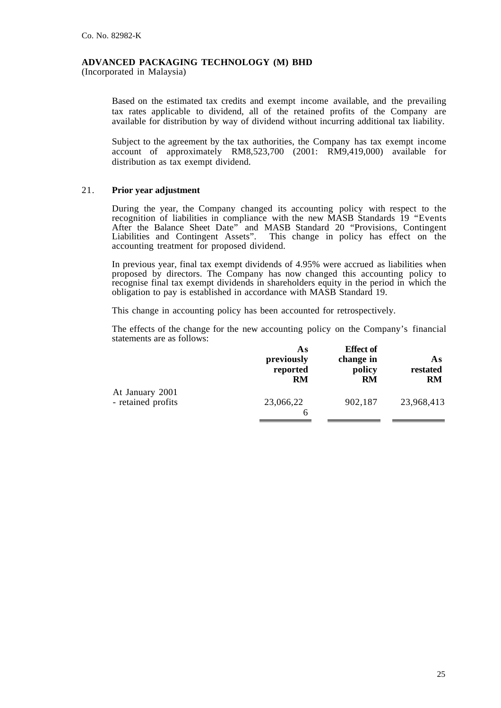(Incorporated in Malaysia)

Based on the estimated tax credits and exempt income available, and the prevailing tax rates applicable to dividend, all of the retained profits of the Company are available for distribution by way of dividend without incurring additional tax liability.

Subject to the agreement by the tax authorities, the Company has tax exempt income account of approximately RM8,523,700 (2001: RM9,419,000) available for distribution as tax exempt dividend.

## 21. **Prior year adjustment**

During the year, the Company changed its accounting policy with respect to the recognition of liabilities in compliance with the new MASB Standards 19 "Events After the Balance Sheet Date" and MASB Standard 20 "Provisions, Contingent Liabilities and Contingent Assets". This change in policy has effect on the accounting treatment for proposed dividend.

In previous year, final tax exempt dividends of 4.95% were accrued as liabilities when proposed by directors. The Company has now changed this accounting policy to recognise final tax exempt dividends in shareholders equity in the period in which the obligation to pay is established in accordance with MASB Standard 19.

This change in accounting policy has been accounted for retrospectively.

The effects of the change for the new accounting policy on the Company's financial statements are as follows:

|                                       | As<br>previously<br>reported<br>RM | <b>Effect of</b><br>change in<br>policy<br>RM | As<br>restated<br><b>RM</b> |
|---------------------------------------|------------------------------------|-----------------------------------------------|-----------------------------|
| At January 2001<br>- retained profits | 23,066,22<br>6                     | 902,187                                       | 23,968,413                  |